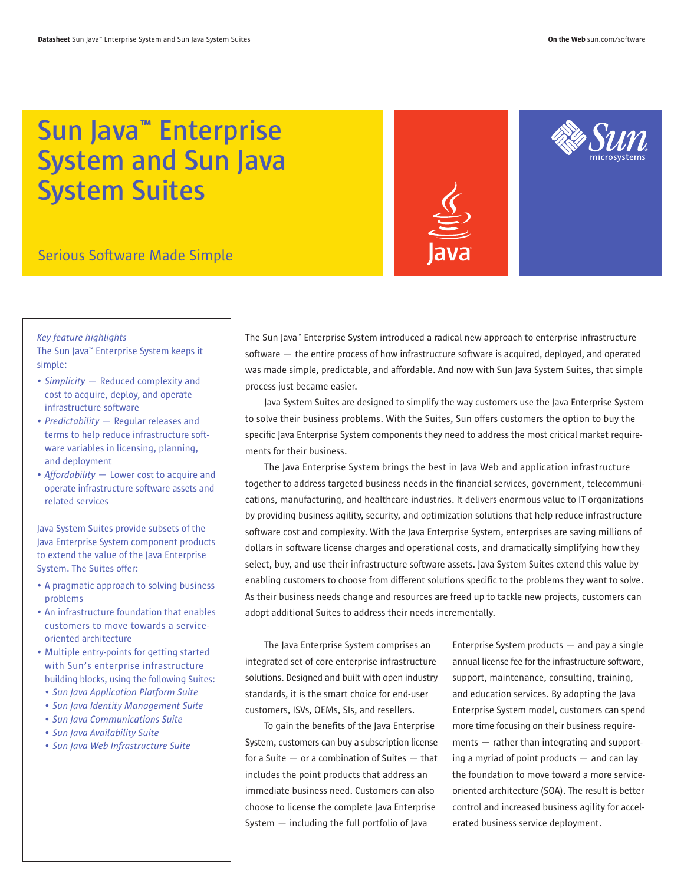# **Sun Java™ Enterprise System and Sun Java System Suites**

Serious Software Made Simple

# *Key feature highlights*

The Sun Java™ Enterprise System keeps it simple:

- *Simplicity* Reduced complexity and cost to acquire, deploy, and operate infrastructure software
- *Predictability* Regular releases and terms to help reduce infrastructure software variables in licensing, planning, and deployment
- *Affordability* Lower cost to acquire and operate infrastructure software assets and related services

Java System Suites provide subsets of the Java Enterprise System component products to extend the value of the Java Enterprise System. The Suites offer:

- A pragmatic approach to solving business problems
- An infrastructure foundation that enables customers to move towards a serviceoriented architecture
- Multiple entry-points for getting started with Sun's enterprise infrastructure building blocks, using the following Suites:
	- *Sun Java Application Platform Suite*
	- *Sun Java Identity Management Suite*
	- *Sun Java Communications Suite*
	- *Sun Java Availability Suite*
	- *Sun Java Web Infrastructure Suite*

The Sun Java™ Enterprise System introduced a radical new approach to enterprise infrastructure software — the entire process of how infrastructure software is acquired, deployed, and operated was made simple, predictable, and affordable. And now with Sun Java System Suites, that simple process just became easier.

Java System Suites are designed to simplify the way customers use the Java Enterprise System to solve their business problems. With the Suites, Sun offers customers the option to buy the specific Java Enterprise System components they need to address the most critical market requirements for their business.

The Java Enterprise System brings the best in Java Web and application infrastructure together to address targeted business needs in the financial services, government, telecommunications, manufacturing, and healthcare industries. It delivers enormous value to IT organizations by providing business agility, security, and optimization solutions that help reduce infrastructure software cost and complexity. With the Java Enterprise System, enterprises are saving millions of dollars in software license charges and operational costs, and dramatically simplifying how they select, buy, and use their infrastructure software assets. Java System Suites extend this value by enabling customers to choose from different solutions specific to the problems they want to solve. As their business needs change and resources are freed up to tackle new projects, customers can adopt additional Suites to address their needs incrementally.

The Java Enterprise System comprises an integrated set of core enterprise infrastructure solutions. Designed and built with open industry standards, it is the smart choice for end-user customers, ISVs, OEMs, SIs, and resellers.

To gain the benefits of the Java Enterprise System, customers can buy a subscription license for a Suite  $-$  or a combination of Suites  $-$  that includes the point products that address an immediate business need. Customers can also choose to license the complete Java Enterprise System  $-$  including the full portfolio of Java

Enterprise System products  $-$  and pay a single annual license fee for the infrastructure software, support, maintenance, consulting, training, and education services. By adopting the Java Enterprise System model, customers can spend more time focusing on their business requirements — rather than integrating and supporting a myriad of point products  $-$  and can lay the foundation to move toward a more serviceoriented architecture (SOA). The result is better control and increased business agility for accelerated business service deployment.

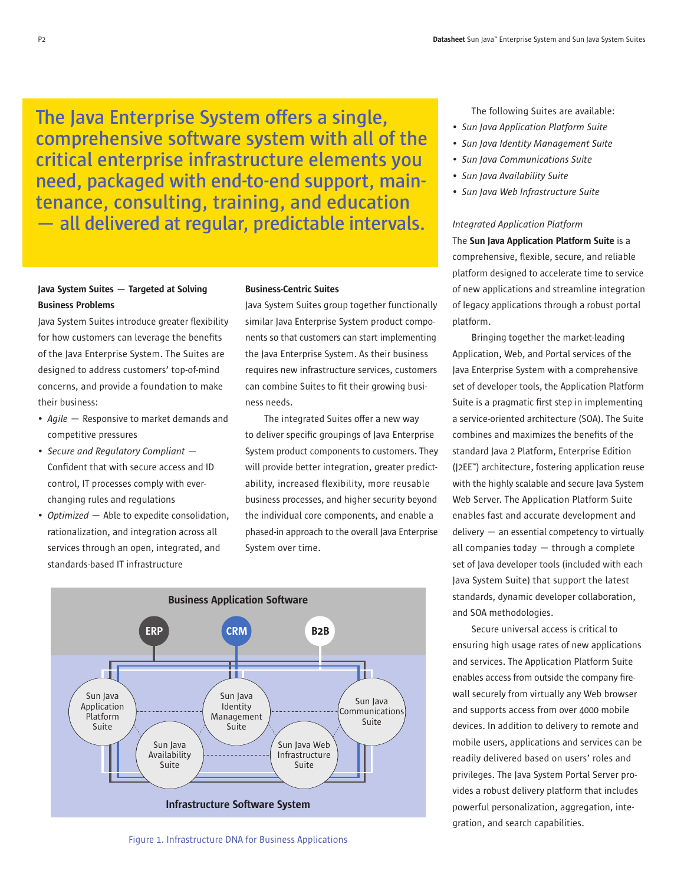**The Java Enterprise System offers a single, comprehensive software system with all of the critical enterprise infrastructure elements you need, packaged with end-to-end support, maintenance, consulting, training, and education — all delivered at regular, predictable intervals.**

# **Java System Suites — Targeted at Solving Business Problems**

Java System Suites introduce greater flexibility for how customers can leverage the benefits of the Java Enterprise System. The Suites are designed to address customers' top-of-mind concerns, and provide a foundation to make their business:

- *Agile* Responsive to market demands and competitive pressures
- *Secure and Regulatory Compliant* Confident that with secure access and ID control, IT processes comply with everchanging rules and regulations
- *Optimized* Able to expedite consolidation, rationalization, and integration across all services through an open, integrated, and standards-based IT infrastructure

#### **Business-Centric Suites**

Java System Suites group together functionally similar Java Enterprise System product components so that customers can start implementing the Java Enterprise System. As their business requires new infrastructure services, customers can combine Suites to fit their growing business needs.

The integrated Suites offer a new way to deliver specific groupings of Java Enterprise System product components to customers. They will provide better integration, greater predictability, increased flexibility, more reusable business processes, and higher security beyond the individual core components, and enable a phased-in approach to the overall Java Enterprise System over time.



Figure 1. Infrastructure DNA for Business Applications

The following Suites are available:

- *Sun Java Application Platform Suite*
- *Sun Java Identity Management Suite*
- *Sun Java Communications Suite*
- *Sun Java Availability Suite*
- *Sun Java Web Infrastructure Suite*

# *Integrated Application Platform*

The **Sun Java Application Platform Suite** is a comprehensive, flexible, secure, and reliable platform designed to accelerate time to service of new applications and streamline integration of legacy applications through a robust portal platform.

Bringing together the market-leading Application, Web, and Portal services of the Java Enterprise System with a comprehensive set of developer tools, the Application Platform Suite is a pragmatic first step in implementing a service-oriented architecture (SOA). The Suite combines and maximizes the benefits of the standard Java 2 Platform, Enterprise Edition (J2EE™) architecture, fostering application reuse with the highly scalable and secure Java System Web Server. The Application Platform Suite enables fast and accurate development and delivery — an essential competency to virtually all companies today  $-$  through a complete set of Java developer tools (included with each Java System Suite) that support the latest standards, dynamic developer collaboration, and SOA methodologies.

Secure universal access is critical to ensuring high usage rates of new applications and services. The Application Platform Suite enables access from outside the company firewall securely from virtually any Web browser and supports access from over 4000 mobile devices. In addition to delivery to remote and mobile users, applications and services can be readily delivered based on users' roles and privileges. The Java System Portal Server provides a robust delivery platform that includes powerful personalization, aggregation, integration, and search capabilities.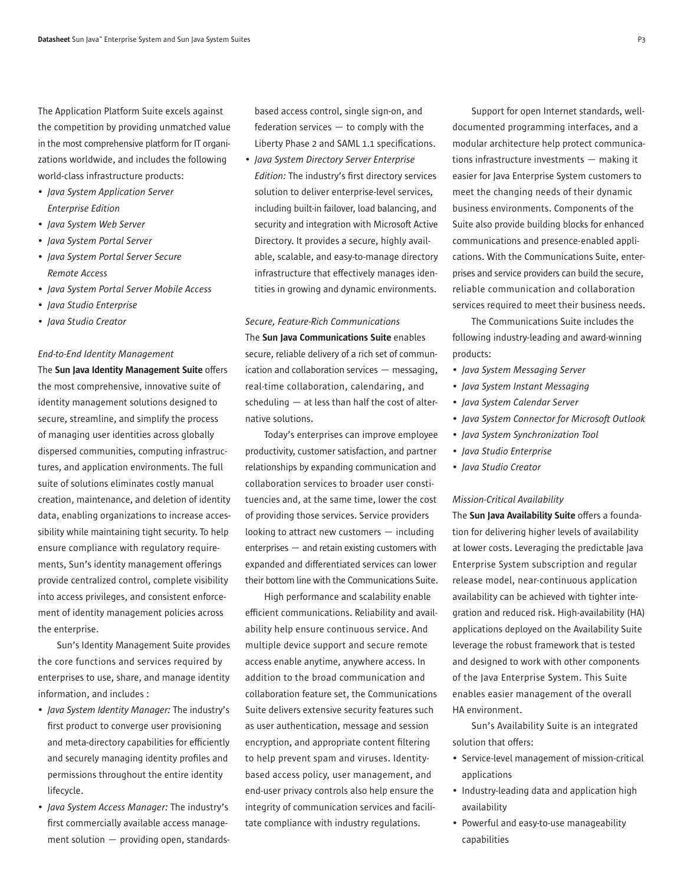The Application Platform Suite excels against the competition by providing unmatched value in the most comprehensive platform for IT organizations worldwide, and includes the following world-class infrastructure products:

- *Java System Application Server Enterprise Edition*
- *Java System Web Server*
- *Java System Portal Server*
- *Java System Portal Server Secure Remote Access*
- *Java System Portal Server Mobile Access*
- *Java Studio Enterprise*
- *Java Studio Creator*

#### *End-to-End Identity Management*

The **Sun Java Identity Management Suite** offers the most comprehensive, innovative suite of identity management solutions designed to secure, streamline, and simplify the process of managing user identities across globally dispersed communities, computing infrastructures, and application environments. The full suite of solutions eliminates costly manual creation, maintenance, and deletion of identity data, enabling organizations to increase accessibility while maintaining tight security. To help ensure compliance with regulatory requirements, Sun's identity management offerings provide centralized control, complete visibility into access privileges, and consistent enforcement of identity management policies across the enterprise.

Sun's Identity Management Suite provides the core functions and services required by enterprises to use, share, and manage identity information, and includes :

- *Java System Identity Manager:* The industry's first product to converge user provisioning and meta-directory capabilities for efficiently and securely managing identity profiles and permissions throughout the entire identity lifecycle.
- *Java System Access Manager:* The industry's first commercially available access management solution — providing open, standards-

based access control, single sign-on, and federation services — to comply with the Liberty Phase 2 and SAML 1.1 specifications.

• *Java System Directory Server Enterprise Edition:* The industry's first directory services solution to deliver enterprise-level services, including built-in failover, load balancing, and security and integration with Microsoft Active Directory. It provides a secure, highly available, scalable, and easy-to-manage directory infrastructure that effectively manages identities in growing and dynamic environments.

# *Secure, Feature-Rich Communications*

The **Sun Java Communications Suite** enables secure, reliable delivery of a rich set of communication and collaboration services — messaging, real-time collaboration, calendaring, and scheduling  $-$  at less than half the cost of alternative solutions.

Today's enterprises can improve employee productivity, customer satisfaction, and partner relationships by expanding communication and collaboration services to broader user constituencies and, at the same time, lower the cost of providing those services. Service providers looking to attract new customers — including enterprises — and retain existing customers with expanded and differentiated services can lower their bottom line with the Communications Suite.

High performance and scalability enable efficient communications. Reliability and availability help ensure continuous service. And multiple device support and secure remote access enable anytime, anywhere access. In addition to the broad communication and collaboration feature set, the Communications Suite delivers extensive security features such as user authentication, message and session encryption, and appropriate content filtering to help prevent spam and viruses. Identitybased access policy, user management, and end-user privacy controls also help ensure the integrity of communication services and facilitate compliance with industry regulations.

Support for open Internet standards, welldocumented programming interfaces, and a modular architecture help protect communications infrastructure investments — making it easier for Java Enterprise System customers to meet the changing needs of their dynamic business environments. Components of the Suite also provide building blocks for enhanced communications and presence-enabled applications. With the Communications Suite, enterprises and service providers can build the secure, reliable communication and collaboration services required to meet their business needs.

The Communications Suite includes the following industry-leading and award-winning products:

- *Java System Messaging Server*
- *Java System Instant Messaging*
- *Java System Calendar Server*
- *Java System Connector for Microsoft Outlook*
- *Java System Synchronization Tool*
- *Java Studio Enterprise*
- *Java Studio Creator*

#### *Mission-Critical Availability*

The **Sun Java Availability Suite** offers a foundation for delivering higher levels of availability at lower costs. Leveraging the predictable Java Enterprise System subscription and regular release model, near-continuous application availability can be achieved with tighter integration and reduced risk. High-availability (HA) applications deployed on the Availability Suite leverage the robust framework that is tested and designed to work with other components of the Java Enterprise System. This Suite enables easier management of the overall HA environment.

Sun's Availability Suite is an integrated solution that offers:

- Service-level management of mission-critical applications
- Industry-leading data and application high availability
- Powerful and easy-to-use manageability capabilities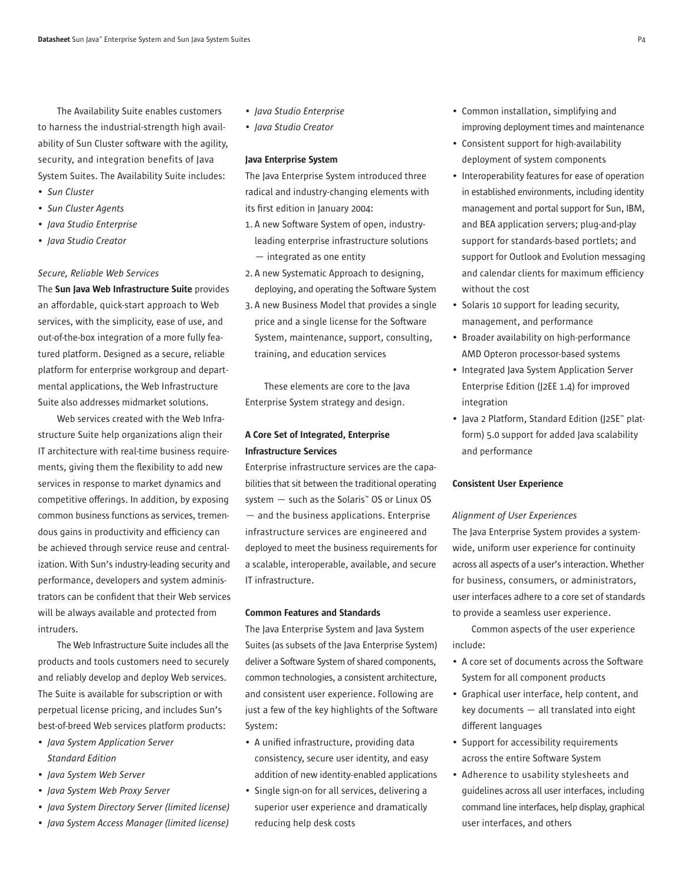The Availability Suite enables customers to harness the industrial-strength high availability of Sun Cluster software with the agility, security, and integration benefits of Java System Suites. The Availability Suite includes:

- *Sun Cluster*
- *Sun Cluster Agents*
- *Java Studio Enterprise*
- *Java Studio Creator*

# *Secure, Reliable Web Services*

The **Sun Java Web Infrastructure Suite** provides an affordable, quick-start approach to Web services, with the simplicity, ease of use, and out-of-the-box integration of a more fully featured platform. Designed as a secure, reliable platform for enterprise workgroup and departmental applications, the Web Infrastructure Suite also addresses midmarket solutions.

Web services created with the Web Infrastructure Suite help organizations align their IT architecture with real-time business requirements, giving them the flexibility to add new services in response to market dynamics and competitive offerings. In addition, by exposing common business functions as services, tremendous gains in productivity and efficiency can be achieved through service reuse and centralization. With Sun's industry-leading security and performance, developers and system administrators can be confident that their Web services will be always available and protected from intruders.

The Web Infrastructure Suite includes all the products and tools customers need to securely and reliably develop and deploy Web services. The Suite is available for subscription or with perpetual license pricing, and includes Sun's best-of-breed Web services platform products:

- *Java System Application Server Standard Edition*
- *Java System Web Server*
- *Java System Web Proxy Server*
- *Java System Directory Server (limited license)*
- *Java System Access Manager (limited license)*
- *Java Studio Enterprise*
- *Java Studio Creator*

# **Java Enterprise System**

The Java Enterprise System introduced three radical and industry-changing elements with its first edition in January 2004:

- 1. A new Software System of open, industryleading enterprise infrastructure solutions — integrated as one entity
- 2. A new Systematic Approach to designing, deploying, and operating the Software System
- 3. A new Business Model that provides a single price and a single license for the Software System, maintenance, support, consulting, training, and education services

These elements are core to the Java Enterprise System strategy and design.

# **A Core Set of Integrated, Enterprise Infrastructure Services**

Enterprise infrastructure services are the capabilities that sit between the traditional operating system – such as the Solaris™ OS or Linux OS — and the business applications. Enterprise infrastructure services are engineered and deployed to meet the business requirements for a scalable, interoperable, available, and secure IT infrastructure.

# **Common Features and Standards**

The Java Enterprise System and Java System Suites (as subsets of the Java Enterprise System) deliver a Software System of shared components, common technologies, a consistent architecture, and consistent user experience. Following are just a few of the key highlights of the Software System:

- A unified infrastructure, providing data consistency, secure user identity, and easy addition of new identity-enabled applications
- Single sign-on for all services, delivering a superior user experience and dramatically reducing help desk costs
- Common installation, simplifying and improving deployment times and maintenance
- Consistent support for high-availability deployment of system components
- Interoperability features for ease of operation in established environments, including identity management and portal support for Sun, IBM, and BEA application servers; plug-and-play support for standards-based portlets; and support for Outlook and Evolution messaging and calendar clients for maximum efficiency without the cost
- Solaris 10 support for leading security, management, and performance
- Broader availability on high-performance AMD Opteron processor-based systems
- Integrated Java System Application Server Enterprise Edition (J2EE 1.4) for improved integration
- Java 2 Platform, Standard Edition (J2SE™ platform) 5.0 support for added Java scalability and performance

# **Consistent User Experience**

#### *Alignment of User Experiences*

The Java Enterprise System provides a systemwide, uniform user experience for continuity across all aspects of a user's interaction. Whether for business, consumers, or administrators, user interfaces adhere to a core set of standards to provide a seamless user experience.

Common aspects of the user experience include:

- A core set of documents across the Software System for all component products
- Graphical user interface, help content, and key documents — all translated into eight different languages
- Support for accessibility requirements across the entire Software System
- Adherence to usability stylesheets and guidelines across all user interfaces, including command line interfaces, help display, graphical user interfaces, and others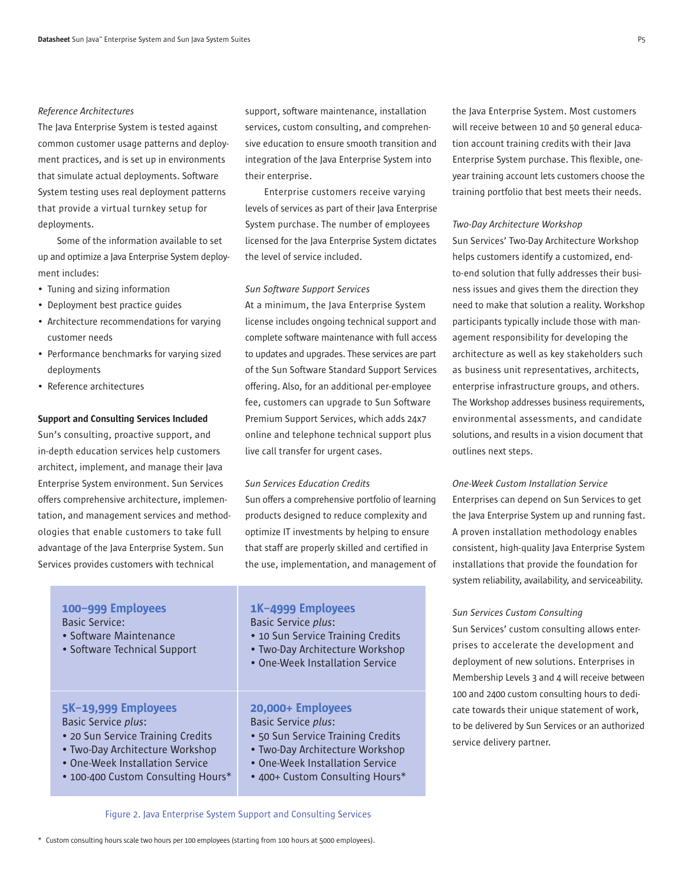# *Reference Architectures*

The Java Enterprise System is tested against common customer usage patterns and deployment practices, and is set up in environments that simulate actual deployments. Software System testing uses real deployment patterns that provide a virtual turnkey setup for deployments.

Some of the information available to set up and optimize a Java Enterprise System deployment includes:

- Tuning and sizing information
- Deployment best practice guides
- Architecture recommendations for varying customer needs
- Performance benchmarks for varying sized deployments
- Reference architectures

# **Support and Consulting Services Included**

Sun's consulting, proactive support, and in-depth education services help customers architect, implement, and manage their Java Enterprise System environment. Sun Services offers comprehensive architecture, implementation, and management services and methodologies that enable customers to take full advantage of the Java Enterprise System. Sun Services provides customers with technical mance benchmarks for varying<br>yments<br>ence architectures<br>and **Consulting Services Includ**<br>onsulting, proactive support, a<br>reducation services help cust<br>t, implement, and manage the<br>se System environment. Sun Se<br>omprehensive

support, software maintenance, installation services, custom consulting, and comprehensive education to ensure smooth transition and integration of the Java Enterprise System into their enterprise.

Enterprise customers receive varying levels of services as part of their Java Enterprise System purchase. The number of employees licensed for the Java Enterprise System dictates the level of service included.

# *Sun Software Support Services*

At a minimum, the Java Enterprise System license includes ongoing technical support and complete software maintenance with full access to updates and upgrades. These services are part of the Sun Software Standard Support Services offering. Also, for an additional per-employee fee, customers can upgrade to Sun Software Premium Support Services, which adds 24x7 online and telephone technical support plus live call transfer for urgent cases.

#### *Sun Services Education Credits*

Sun offers a comprehensive portfolio of learning products designed to reduce complexity and optimize IT investments by helping to ensure that staff are properly skilled and certified in the use, implementation, and management of

| 100-999 Employees<br><b>Basic Service:</b><br>· Software Maintenance<br>• Software Technical Support | 1K-4999 Employees<br><b>Basic Service plus:</b><br>• 10 Sun Service Training Credits<br>• Two-Day Architecture Workshop<br>• One-Week Installation Service |
|------------------------------------------------------------------------------------------------------|------------------------------------------------------------------------------------------------------------------------------------------------------------|
| 5K-19,999 Employees                                                                                  | 20,000+ Employees                                                                                                                                          |
| Basic Service plus:                                                                                  | <b>Basic Service plus:</b>                                                                                                                                 |
| • 20 Sun Service Training Credits                                                                    | • 50 Sun Service Training Credits                                                                                                                          |
| • Two-Day Architecture Workshop                                                                      | • Two-Day Architecture Workshop                                                                                                                            |
| • One-Week Installation Service                                                                      | • One-Week Installation Service                                                                                                                            |
| • 100-400 Custom Consulting Hours*                                                                   | • 400+ Custom Consulting Hours*                                                                                                                            |

Enterprise System purchase. This flexible, oneyear training account lets customers choose the training portfolio that best meets their needs.

the Java Enterprise System. Most customers will receive between 10 and 50 general education account training credits with their Java

# *Two-Day Architecture Workshop*

Sun Services' Two-Day Architecture Workshop helps customers identify a customized, endto-end solution that fully addresses their business issues and gives them the direction they need to make that solution a reality. Workshop participants typically include those with management responsibility for developing the architecture as well as key stakeholders such as business unit representatives, architects, enterprise infrastructure groups, and others. The Workshop addresses business requirements, environmental assessments, and candidate solutions, and results in a vision document that outlines next steps.

#### *One-Week Custom Installation Service*

Enterprises can depend on Sun Services to get the Java Enterprise System up and running fast. A proven installation methodology enables consistent, high-quality Java Enterprise System installations that provide the foundation for system reliability, availability, and serviceability.

# *Sun Services Custom Consulting*

Sun Services' custom consulting allows enterprises to accelerate the development and deployment of new solutions. Enterprises in Membership Levels 3 and 4 will receive between 100 and 2400 custom consulting hours to dedicate towards their unique statement of work, to be delivered by Sun Services or an authorized service delivery partner.

Figure 2. Java Enterprise System Support and Consulting Services